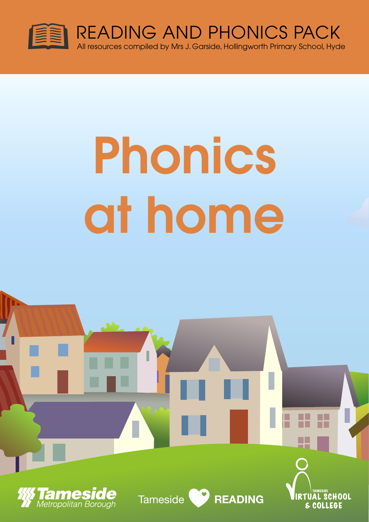

# Phonics at home



Tameside *READING* **1999**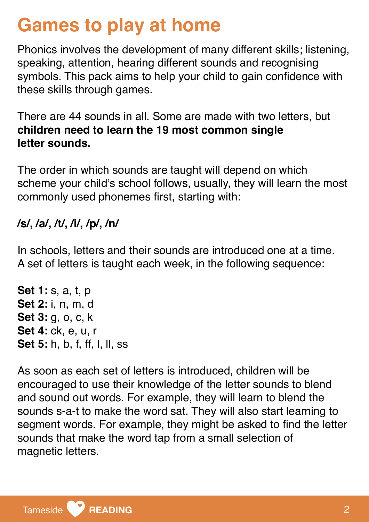# **Games to play at home**

Phonics involves the development of many different skills; listening, speaking, attention, hearing different sounds and recognising symbols. This pack aims to help your child to gain confidence with these skills through games.

There are 44 sounds in all. Some are made with two letters, but **children need to learn the 19 most common single letter sounds.** 

The order in which sounds are taught will depend on which scheme your child's school follows, usually, they will learn the most commonly used phonemes first, starting with:

#### **/s/, /a/, /t/, /i/, /p/, /n/**

In schools, letters and their sounds are introduced one at a time. A set of letters is taught each week, in the following sequence:

**Set 1:** s, a, t, p **Set 2:** i, n, m, d **Set 3:** g, o, c, k **Set 4:** ck, e, u, r **Set 5:** h, b, f, ff, l, ll, ss

As soon as each set of letters is introduced, children will be encouraged to use their knowledge of the letter sounds to blend and sound out words. For example, they will learn to blend the sounds s-a-t to make the word sat. They will also start learning to segment words. For example, they might be asked to find the letter sounds that make the word tap from a small selection of magnetic letters.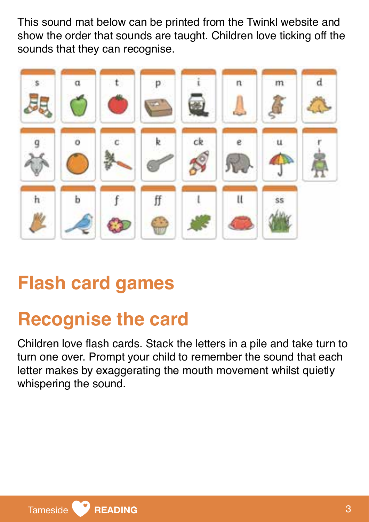This sound mat below can be printed from the Twinkl website and show the order that sounds are taught. Children love ticking off the sounds that they can recognise.



# **Flash card games**

# **Recognise the card**

Children love flash cards. Stack the letters in a pile and take turn to turn one over. Prompt your child to remember the sound that each letter makes by exaggerating the mouth movement whilst quietly whispering the sound.

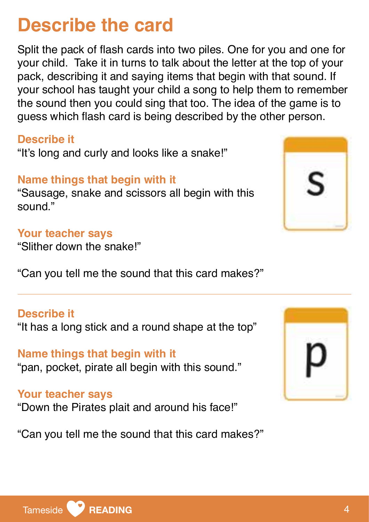### **Describe the card**

Split the pack of flash cards into two piles. One for you and one for your child. Take it in turns to talk about the letter at the top of your pack, describing it and saying items that begin with that sound. If your school has taught your child a song to help them to remember the sound then you could sing that too. The idea of the game is to guess which flash card is being described by the other person.

#### **Describe it**

"It's long and curly and looks like a snake!"

#### **Name things that begin with it**

"Sausage, snake and scissors all begin with this sound."

#### **Your teacher says**

"Slither down the snake!"

"Can you tell me the sound that this card makes?"

#### **Describe it**

"It has a long stick and a round shape at the top"

#### **Name things that begin with it** "pan, pocket, pirate all begin with this sound."

#### **Your teacher says**

"Down the Pirates plait and around his face!"

"Can you tell me the sound that this card makes?"





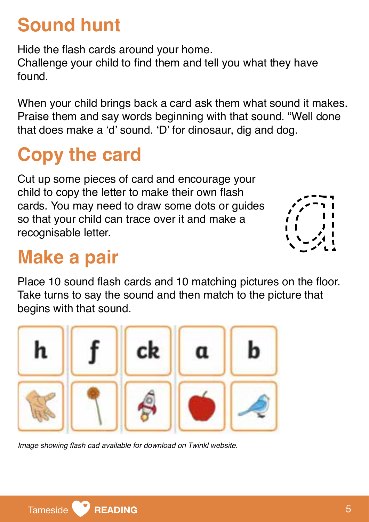# **Sound hunt**

Hide the flash cards around your home.

Challenge your child to find them and tell you what they have found.

When your child brings back a card ask them what sound it makes. Praise them and say words beginning with that sound. "Well done that does make a 'd' sound. 'D' for dinosaur, dig and dog.

# **Copy the card**

Cut up some pieces of card and encourage your child to copy the letter to make their own flash cards. You may need to draw some dots or guides so that your child can trace over it and make a recognisable letter.

# **Make a pair**

Place 10 sound flash cards and 10 matching pictures on the floor. Take turns to say the sound and then match to the picture that begins with that sound.

Image showing flash cad available for download on Twinkl website.



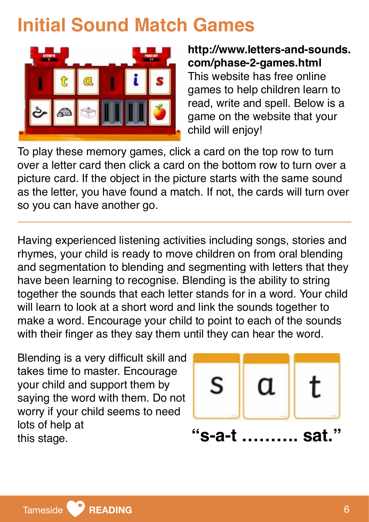# **Initial Sound Match Games**



**http://www.letters-and-sounds. com/phase-2-games.html**  This website has free online games to help children learn to read, write and spell. Below is a game on the website that your child will enjoy!

To play these memory games, click a card on the top row to turn over a letter card then click a card on the bottom row to turn over a picture card. If the object in the picture starts with the same sound as the letter, you have found a match. If not, the cards will turn over so you can have another go.

Having experienced listening activities including songs, stories and rhymes, your child is ready to move children on from oral blending and segmentation to blending and segmenting with letters that they have been learning to recognise. Blending is the ability to string together the sounds that each letter stands for in a word. Your child will learn to look at a short word and link the sounds together to make a word. Encourage your child to point to each of the sounds with their finger as they say them until they can hear the word.

Blending is a very difficult skill and takes time to master. Encourage your child and support them by saying the word with them. Do not worry if your child seems to need lots of help at this stage. **"S-a-t"** 

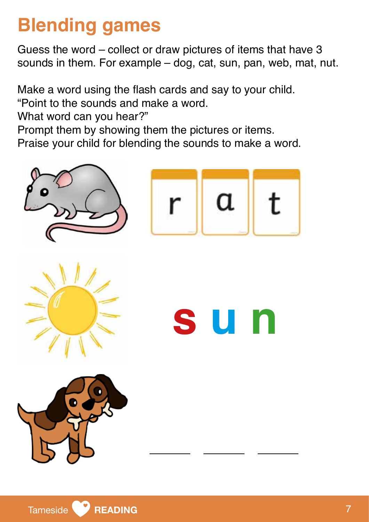# **Blending games**

Guess the word – collect or draw pictures of items that have 3 sounds in them. For example – dog, cat, sun, pan, web, mat, nut.

Make a word using the flash cards and say to your child.

"Point to the sounds and make a word.

What word can you hear?"

Prompt them by showing them the pictures or items.

Praise your child for blending the sounds to make a word.